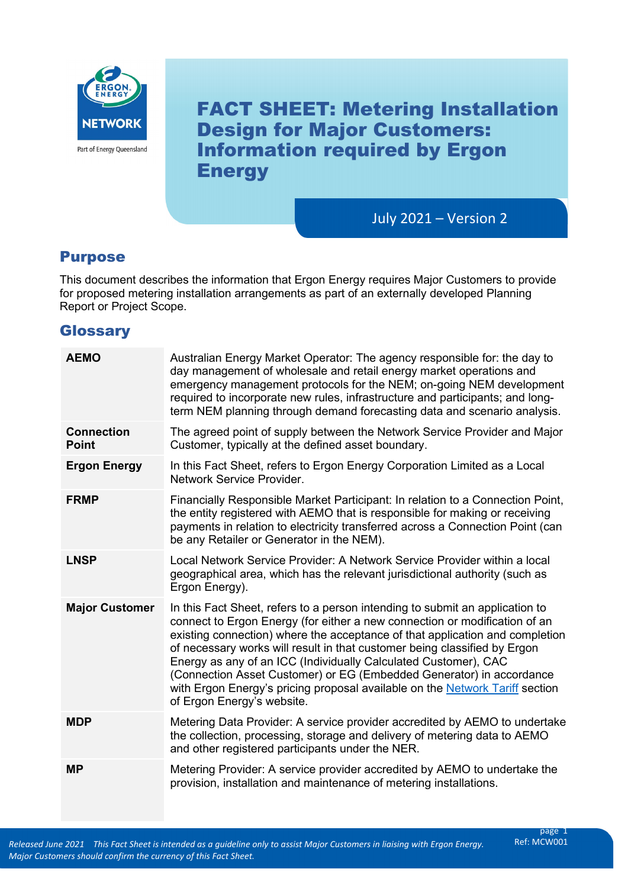

FACT SHEET: Metering Installation Design for Major Customers: Information required by Ergon **Energy** 

July 2021 – Version 2

## Purpose

This document describes the information that Ergon Energy requires Major Customers to provide for proposed metering installation arrangements as part of an externally developed Planning Report or Project Scope.

## **Glossary**

| <b>AEMO</b>                                                                                                                                                                                                                                                                                                                                                                                                                                                                                                                                                                                               | Australian Energy Market Operator: The agency responsible for: the day to<br>day management of wholesale and retail energy market operations and<br>emergency management protocols for the NEM; on-going NEM development<br>required to incorporate new rules, infrastructure and participants; and long-<br>term NEM planning through demand forecasting data and scenario analysis. |  |  |
|-----------------------------------------------------------------------------------------------------------------------------------------------------------------------------------------------------------------------------------------------------------------------------------------------------------------------------------------------------------------------------------------------------------------------------------------------------------------------------------------------------------------------------------------------------------------------------------------------------------|---------------------------------------------------------------------------------------------------------------------------------------------------------------------------------------------------------------------------------------------------------------------------------------------------------------------------------------------------------------------------------------|--|--|
| <b>Connection</b><br><b>Point</b>                                                                                                                                                                                                                                                                                                                                                                                                                                                                                                                                                                         | The agreed point of supply between the Network Service Provider and Major<br>Customer, typically at the defined asset boundary.                                                                                                                                                                                                                                                       |  |  |
| <b>Ergon Energy</b>                                                                                                                                                                                                                                                                                                                                                                                                                                                                                                                                                                                       | In this Fact Sheet, refers to Ergon Energy Corporation Limited as a Local<br>Network Service Provider.                                                                                                                                                                                                                                                                                |  |  |
| <b>FRMP</b>                                                                                                                                                                                                                                                                                                                                                                                                                                                                                                                                                                                               | Financially Responsible Market Participant: In relation to a Connection Point,<br>the entity registered with AEMO that is responsible for making or receiving<br>payments in relation to electricity transferred across a Connection Point (can<br>be any Retailer or Generator in the NEM).                                                                                          |  |  |
| <b>LNSP</b>                                                                                                                                                                                                                                                                                                                                                                                                                                                                                                                                                                                               | Local Network Service Provider: A Network Service Provider within a local<br>geographical area, which has the relevant jurisdictional authority (such as<br>Ergon Energy).                                                                                                                                                                                                            |  |  |
| <b>Major Customer</b><br>In this Fact Sheet, refers to a person intending to submit an application to<br>connect to Ergon Energy (for either a new connection or modification of an<br>existing connection) where the acceptance of that application and completion<br>of necessary works will result in that customer being classified by Ergon<br>Energy as any of an ICC (Individually Calculated Customer), CAC<br>(Connection Asset Customer) or EG (Embedded Generator) in accordance<br>with Ergon Energy's pricing proposal available on the Network Tariff section<br>of Ergon Energy's website. |                                                                                                                                                                                                                                                                                                                                                                                       |  |  |
| <b>MDP</b>                                                                                                                                                                                                                                                                                                                                                                                                                                                                                                                                                                                                | Metering Data Provider: A service provider accredited by AEMO to undertake<br>the collection, processing, storage and delivery of metering data to AEMO<br>and other registered participants under the NER.                                                                                                                                                                           |  |  |
| <b>MP</b>                                                                                                                                                                                                                                                                                                                                                                                                                                                                                                                                                                                                 | Metering Provider: A service provider accredited by AEMO to undertake the<br>provision, installation and maintenance of metering installations.                                                                                                                                                                                                                                       |  |  |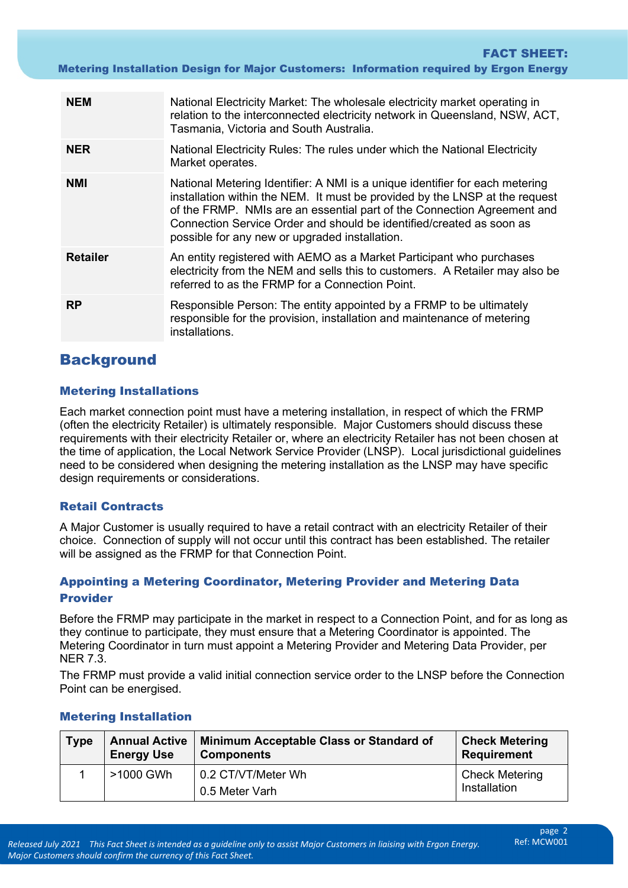Metering Installation Design for Major Customers: Information required by Ergon Energy

| <b>NEM</b>      | National Electricity Market: The wholesale electricity market operating in<br>relation to the interconnected electricity network in Queensland, NSW, ACT,<br>Tasmania, Victoria and South Australia.                                                                                                                                                             |  |  |
|-----------------|------------------------------------------------------------------------------------------------------------------------------------------------------------------------------------------------------------------------------------------------------------------------------------------------------------------------------------------------------------------|--|--|
| <b>NER</b>      | National Electricity Rules: The rules under which the National Electricity<br>Market operates.                                                                                                                                                                                                                                                                   |  |  |
| <b>NMI</b>      | National Metering Identifier: A NMI is a unique identifier for each metering<br>installation within the NEM. It must be provided by the LNSP at the request<br>of the FRMP. NMIs are an essential part of the Connection Agreement and<br>Connection Service Order and should be identified/created as soon as<br>possible for any new or upgraded installation. |  |  |
| <b>Retailer</b> | An entity registered with AEMO as a Market Participant who purchases<br>electricity from the NEM and sells this to customers. A Retailer may also be<br>referred to as the FRMP for a Connection Point.                                                                                                                                                          |  |  |
| <b>RP</b>       | Responsible Person: The entity appointed by a FRMP to be ultimately<br>responsible for the provision, installation and maintenance of metering<br>installations.                                                                                                                                                                                                 |  |  |

# **Background**

#### Metering Installations

 (often the electricity Retailer) is ultimately responsible. Major Customers should discuss these Each market connection point must have a metering installation, in respect of which the FRMP requirements with their electricity Retailer or, where an electricity Retailer has not been chosen at the time of application, the Local Network Service Provider (LNSP). Local jurisdictional guidelines need to be considered when designing the metering installation as the LNSP may have specific design requirements or considerations.

#### Retail Contracts

A Major Customer is usually required to have a retail contract with an electricity Retailer of their choice. Connection of supply will not occur until this contract has been established. The retailer will be assigned as the FRMP for that Connection Point.

## Provider Appointing a Metering Coordinator, Metering Provider and Metering Data

Before the FRMP may participate in the market in respect to a Connection Point, and for as long as they continue to participate, they must ensure that a Metering Coordinator is appointed. The Metering Coordinator in turn must appoint a Metering Provider and Metering Data Provider, per NER 7.3.

The FRMP must provide a valid initial connection service order to the LNSP before the Connection Point can be energised.

| <b>Type</b> | <b>Annual Active</b><br><b>Energy Use</b> | Minimum Acceptable Class or Standard of<br><b>Components</b> | <b>Check Metering</b><br><b>Requirement</b> |
|-------------|-------------------------------------------|--------------------------------------------------------------|---------------------------------------------|
|             | >1000 GWh                                 | 0.2 CT/VT/Meter Wh<br>0.5 Meter Varh                         | <b>Check Metering</b><br>Installation       |

#### Metering Installation

FACT SHEET: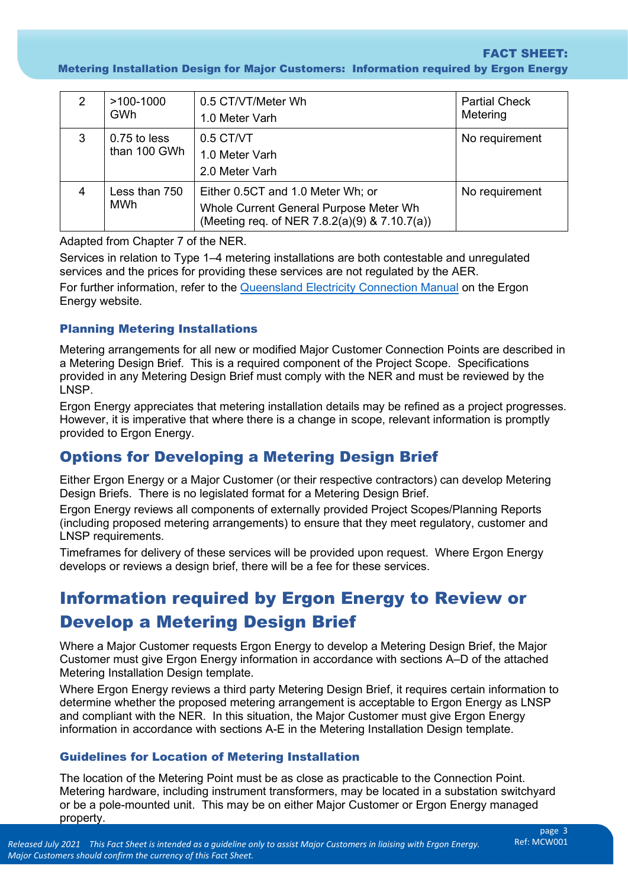Metering Installation Design for Major Customers: Information required by Ergon Energy

| 2 | $>100-1000$<br><b>GWh</b>    | 0.5 CT/VT/Meter Wh<br>1.0 Meter Varh                                                                                         | <b>Partial Check</b><br>Metering |
|---|------------------------------|------------------------------------------------------------------------------------------------------------------------------|----------------------------------|
| 3 | 0.75 to less<br>than 100 GWh | $0.5$ CT/VT<br>1.0 Meter Varh<br>2.0 Meter Varh                                                                              | No requirement                   |
| 4 | Less than 750<br>MWh         | Either 0.5CT and 1.0 Meter Wh; or<br>Whole Current General Purpose Meter Wh<br>(Meeting req. of NER 7.8.2(a)(9) & 7.10.7(a)) | No requirement                   |

Adapted from Chapter 7 of the NER.

Services in relation to Type 1–4 metering installations are both contestable and unregulated services and the prices for providing these services are not regulated by the AER.

For further information, refer to the <u>Queensland Electricity Connection Manual</u> on the Ergon Energy website.

### Planning Metering Installations

 provided in any Metering Design Brief must comply with the NER and must be reviewed by the Metering arrangements for all new or modified Major Customer Connection Points are described in a Metering Design Brief. This is a required component of the Project Scope. Specifications LNSP.

Ergon Energy appreciates that metering installation details may be refined as a project progresses. However, it is imperative that where there is a change in scope, relevant information is promptly provided to Ergon Energy.

# Options for Developing a Metering Design Brief

Either Ergon Energy or a Major Customer (or their respective contractors) can develop Metering Design Briefs. There is no legislated format for a Metering Design Brief.

Ergon Energy reviews all components of externally provided Project Scopes/Planning Reports (including proposed metering arrangements) to ensure that they meet regulatory, customer and LNSP requirements.

 Timeframes for delivery of these services will be provided upon request. Where Ergon Energy develops or reviews a design brief, there will be a fee for these services.

# Information required by Ergon Energy to Review or Develop a Metering Design Brief

 Where a Major Customer requests Ergon Energy to develop a Metering Design Brief, the Major Customer must give Ergon Energy information in accordance with sections A–D of the attached Metering Installation Design template.

 and compliant with the NER. In this situation, the Major Customer must give Ergon Energy Where Ergon Energy reviews a third party Metering Design Brief, it requires certain information to determine whether the proposed metering arrangement is acceptable to Ergon Energy as LNSP information in accordance with sections A-E in the Metering Installation Design template.

#### Guidelines for Location of Metering Installation

The location of the Metering Point must be as close as practicable to the Connection Point. Metering hardware, including instrument transformers, may be located in a substation switchyard or be a pole-mounted unit. This may be on either Major Customer or Ergon Energy managed property.

FACT SHEET: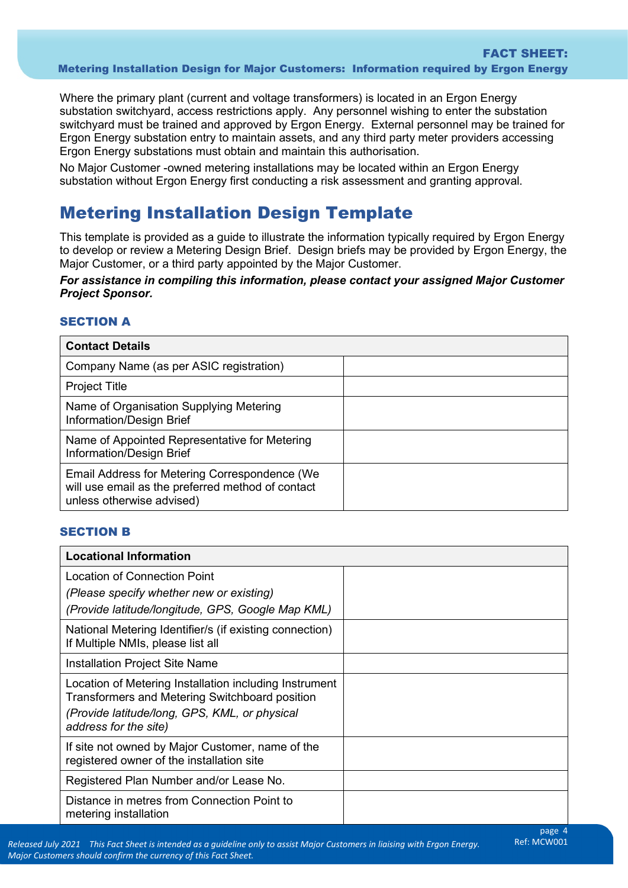Where the primary plant (current and voltage transformers) is located in an Ergon Energy substation switchyard, access restrictions apply. Any personnel wishing to enter the substation switchyard must be trained and approved by Ergon Energy. External personnel may be trained for Ergon Energy substation entry to maintain assets, and any third party meter providers accessing Ergon Energy substations must obtain and maintain this authorisation.

 substation without Ergon Energy first conducting a risk assessment and granting approval. No Major Customer -owned metering installations may be located within an Ergon Energy

# Metering Installation Design Template

This template is provided as a guide to illustrate the information typically required by Ergon Energy to develop or review a Metering Design Brief. Design briefs may be provided by Ergon Energy, the Major Customer, or a third party appointed by the Major Customer.

#### *For assistance in compiling this information, please contact your assigned Major Customer Project Sponsor.*

## **SECTION A**

| <b>Contact Details</b>                                                                                                          |  |  |
|---------------------------------------------------------------------------------------------------------------------------------|--|--|
| Company Name (as per ASIC registration)                                                                                         |  |  |
| <b>Project Title</b>                                                                                                            |  |  |
| Name of Organisation Supplying Metering<br>Information/Design Brief                                                             |  |  |
| Name of Appointed Representative for Metering<br>Information/Design Brief                                                       |  |  |
| Email Address for Metering Correspondence (We<br>will use email as the preferred method of contact<br>unless otherwise advised) |  |  |

#### SECTION B

| <b>Locational Information</b>                                                                            |  |  |
|----------------------------------------------------------------------------------------------------------|--|--|
| Location of Connection Point                                                                             |  |  |
| (Please specify whether new or existing)                                                                 |  |  |
| (Provide latitude/longitude, GPS, Google Map KML)                                                        |  |  |
| National Metering Identifier/s (if existing connection)<br>If Multiple NMIs, please list all             |  |  |
| <b>Installation Project Site Name</b>                                                                    |  |  |
| Location of Metering Installation including Instrument<br>Transformers and Metering Switchboard position |  |  |
| (Provide latitude/long, GPS, KML, or physical<br>address for the site)                                   |  |  |
| If site not owned by Major Customer, name of the<br>registered owner of the installation site            |  |  |
| Registered Plan Number and/or Lease No.                                                                  |  |  |
| Distance in metres from Connection Point to<br>metering installation                                     |  |  |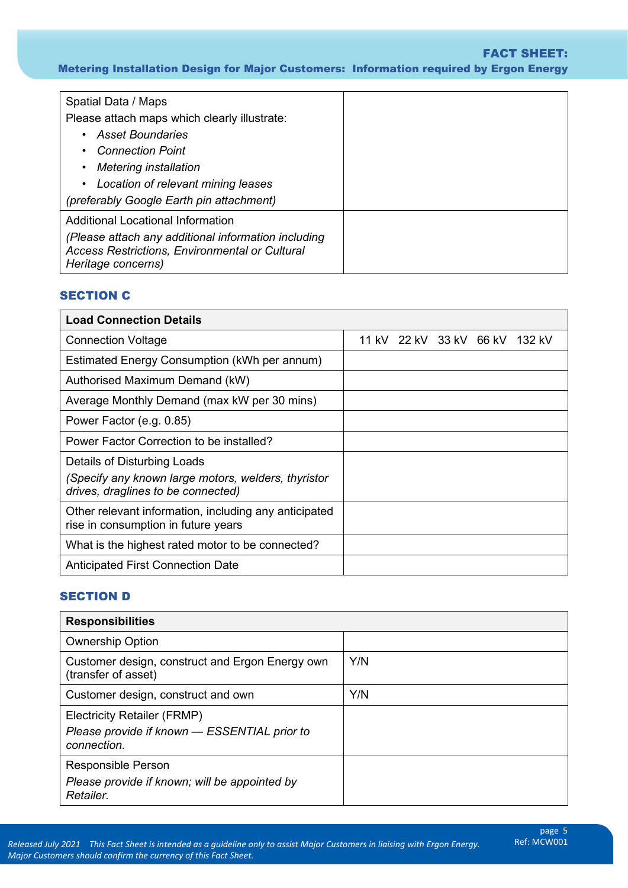#### FACT SHEET:

Metering Installation Design for Major Customers: Information required by Ergon Energy

| Spatial Data / Maps                                                                                                                |  |
|------------------------------------------------------------------------------------------------------------------------------------|--|
| Please attach maps which clearly illustrate:                                                                                       |  |
| <b>Asset Boundaries</b><br>$\bullet$                                                                                               |  |
| <b>Connection Point</b>                                                                                                            |  |
| <b>Metering installation</b><br>$\bullet$                                                                                          |  |
| • Location of relevant mining leases                                                                                               |  |
| (preferably Google Earth pin attachment)                                                                                           |  |
| Additional Locational Information                                                                                                  |  |
| (Please attach any additional information including<br><b>Access Restrictions, Environmental or Cultural</b><br>Heritage concerns) |  |

### SECTION C

| <b>Load Connection Details</b>                                                               |  |  |  |  |                                |
|----------------------------------------------------------------------------------------------|--|--|--|--|--------------------------------|
| <b>Connection Voltage</b>                                                                    |  |  |  |  | 11 kV 22 kV 33 kV 66 kV 132 kV |
| Estimated Energy Consumption (kWh per annum)                                                 |  |  |  |  |                                |
| Authorised Maximum Demand (kW)                                                               |  |  |  |  |                                |
| Average Monthly Demand (max kW per 30 mins)                                                  |  |  |  |  |                                |
| Power Factor (e.g. 0.85)                                                                     |  |  |  |  |                                |
| Power Factor Correction to be installed?                                                     |  |  |  |  |                                |
| Details of Disturbing Loads                                                                  |  |  |  |  |                                |
| (Specify any known large motors, welders, thyristor<br>drives, draglines to be connected)    |  |  |  |  |                                |
| Other relevant information, including any anticipated<br>rise in consumption in future years |  |  |  |  |                                |
| What is the highest rated motor to be connected?                                             |  |  |  |  |                                |
| Anticipated First Connection Date                                                            |  |  |  |  |                                |

## SECTION D

| <b>Responsibilities</b>                                                                           |     |  |
|---------------------------------------------------------------------------------------------------|-----|--|
| <b>Ownership Option</b>                                                                           |     |  |
| Customer design, construct and Ergon Energy own<br>(transfer of asset)                            | Y/N |  |
| Customer design, construct and own                                                                | Y/N |  |
| <b>Electricity Retailer (FRMP)</b><br>Please provide if known - ESSENTIAL prior to<br>connection. |     |  |
| <b>Responsible Person</b><br>Please provide if known; will be appointed by<br>Retailer.           |     |  |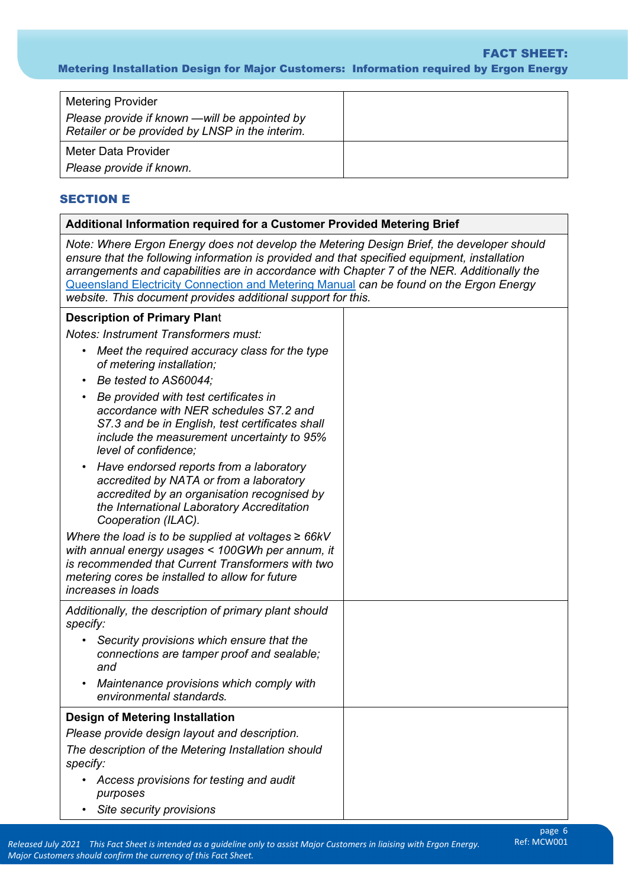#### Metering Installation Design for Major Customers: Information required by Ergon Energy FACT SHEET:

| <b>Metering Provider</b>                                                                         |  |
|--------------------------------------------------------------------------------------------------|--|
| Please provide if known —will be appointed by<br>Retailer or be provided by LNSP in the interim. |  |
| Meter Data Provider                                                                              |  |
| Please provide if known.                                                                         |  |

#### SECTION E

#### **Additional Information required for a Customer Provided Metering Brief**

 *website. This document provides additional support for this. Note: Where Ergon Energy does not develop the Metering Design Brief, the developer should ensure that the following information is provided and that specified equipment, installation arrangements and capabilities are in accordance with Chapter 7 of the NER. Additionally the*  [Queensland Electricity Connection and Metering Manual](https://www.ergon.com.au/network/contractors-and-industry/electrical-contractors/forms,-manuals-and-standards) *can be found on the Ergon Energy* 

#### **Description of Primary Plan**t

 *Notes: Instrument Transformers must:* 

- *Meet the required accuracy class for the type of metering installation;*
- *Be tested to AS60044;*
- *include the measurement uncertainty to 95%*  • *Be provided with test certificates in accordance with NER schedules S7.2 and S7.3 and be in English, test certificates shall level of confidence;*
- *Have endorsed reports from a laboratory accredited by NATA or from a laboratory accredited by an organisation recognised by the International Laboratory Accreditation Cooperation (ILAC).*

 *with annual energy usages < 100GWh per annum, it Where the load is to be supplied at voltages ≥ 66kV is recommended that Current Transformers with two metering cores be installed to allow for future increases in loads Additionally, the description of primary plant should specify:* 

- *Security provisions which ensure that the connections are tamper proof and sealable; and*
- *Maintenance provisions which comply with environmental standards.*

**Design of Metering Installation** 

*Please provide design layout and description.* 

*The description of the Metering Installation should specify:* 

• *Access provisions for testing and audit purposes* 

• *Site security provisions*